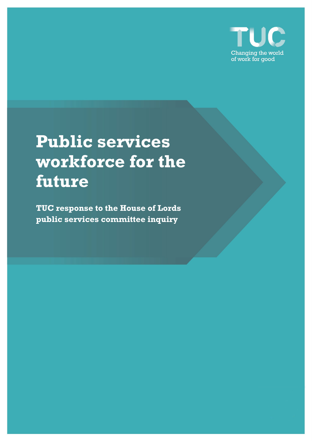

# **Public services workforce for the future**

**TUC response to the House of Lords public services committee inquiry**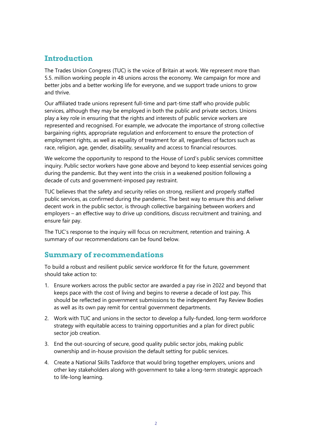## **Introduction**

The Trades Union Congress (TUC) is the voice of Britain at work. We represent more than 5.5. million working people in 48 unions across the economy. We campaign for more and better jobs and a better working life for everyone, and we support trade unions to grow and thrive.

Our affiliated trade unions represent full-time and part-time staff who provide public services, although they may be employed in both the public and private sectors. Unions play a key role in ensuring that the rights and interests of public service workers are represented and recognised. For example, we advocate the importance of strong collective bargaining rights, appropriate regulation and enforcement to ensure the protection of employment rights, as well as equality of treatment for all, regardless of factors such as race, religion, age, gender, disability, sexuality and access to financial resources.

We welcome the opportunity to respond to the House of Lord's public services committee inquiry. Public sector workers have gone above and beyond to keep essential services going during the pandemic. But they went into the crisis in a weakened position following a decade of cuts and government-imposed pay restraint.

TUC believes that the safety and security relies on strong, resilient and properly staffed public services, as confirmed during the pandemic. The best way to ensure this and deliver decent work in the public sector, is through collective bargaining between workers and employers – an effective way to drive up conditions, discuss recruitment and training, and ensure fair pay.

The TUC's response to the inquiry will focus on recruitment, retention and training. A summary of our recommendations can be found below.

## **Summary of recommendations**

To build a robust and resilient public service workforce fit for the future, government should take action to:

- 1. Ensure workers across the public sector are awarded a pay rise in 2022 and beyond that keeps pace with the cost of living and begins to reverse a decade of lost pay. This should be reflected in government submissions to the independent Pay Review Bodies as well as its own pay remit for central government departments.
- 2. Work with TUC and unions in the sector to develop a fully-funded, long-term workforce strategy with equitable access to training opportunities and a plan for direct public sector job creation.
- 3. End the out-sourcing of secure, good quality public sector jobs, making public ownership and in-house provision the default setting for public services.
- 4. Create a National Skills Taskforce that would bring together employers, unions and other key stakeholders along with government to take a long-term strategic approach to life-long learning.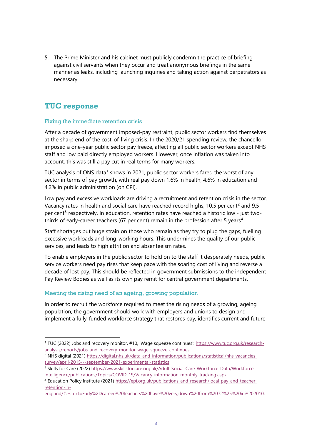5. The Prime Minister and his cabinet must publicly condemn the practice of briefing against civil servants when they occur and treat anonymous briefings in the same manner as leaks, including launching inquiries and taking action against perpetrators as necessary.

## **TUC response**

#### Fixing the immediate retention crisis

After a decade of government imposed-pay restraint, public sector workers find themselves at the sharp end of the cost-of-living crisis. In the 2020/21 spending review, the chancellor imposed a one-year public sector pay freeze, affecting all public sector workers except NHS staff and low paid directly employed workers. However, once inflation was taken into account, this was still a pay cut in real terms for many workers.

TUC analysis of ONS data<sup>[1](#page-2-0)</sup> shows in 2021, public sector workers fared the worst of any sector in terms of pay growth, with real pay down 1.6% in health, 4.6% in education and 4.2% in public administration (on CPI).

Low pay and excessive workloads are driving a recruitment and retention crisis in the sector. Vacancy rates in health and social care have reached record highs, 10.5 per cent<sup>[2](#page-2-1)</sup> and 9.5 per cent<sup>[3](#page-2-2)</sup> respectively. In education, retention rates have reached a historic low - just two-thirds of early-career teachers (67 per cent) remain in the profession after 5 years<sup>[4](#page-2-3)</sup>.

Staff shortages put huge strain on those who remain as they try to plug the gaps, fuelling excessive workloads and long-working hours. This undermines the quality of our public services, and leads to high attrition and absenteeism rates.

To enable employers in the public sector to hold on to the staff it desperately needs, public service workers need pay rises that keep pace with the soaring cost of living and reverse a decade of lost pay. This should be reflected in government submissions to the independent Pay Review Bodies as well as its own pay remit for central government departments.

### Meeting the rising need of an ageing, growing population

In order to recruit the workforce required to meet the rising needs of a growing, ageing population, the government should work with employers and unions to design and implement a fully-funded workforce strategy that restores pay, identifies current and future

<span id="page-2-0"></span><sup>&</sup>lt;sup>1</sup> TUC (2022) Jobs and recovery monitor, #10, 'Wage squeeze continues'[: https://www.tuc.org.uk/research](https://www.tuc.org.uk/research-analysis/reports/jobs-and-recovery-monitor-wage-squeeze-continues)[analysis/reports/jobs-and-recovery-monitor-wage-squeeze-continues](https://www.tuc.org.uk/research-analysis/reports/jobs-and-recovery-monitor-wage-squeeze-continues)

<span id="page-2-1"></span><sup>&</sup>lt;sup>2</sup> NHS digital (2021[\) https://digital.nhs.uk/data-and-information/publications/statistical/nhs-vacancies](https://digital.nhs.uk/data-and-information/publications/statistical/nhs-vacancies-survey/april-2015---september-2021-experimental-statistics)[survey/april-2015---september-2021-experimental-statistics](https://digital.nhs.uk/data-and-information/publications/statistical/nhs-vacancies-survey/april-2015---september-2021-experimental-statistics)

<span id="page-2-2"></span><sup>3</sup> Skills for Care (2022) [https://www.skillsforcare.org.uk/Adult-Social-Care-Workforce-Data/Workforce](https://www.skillsforcare.org.uk/Adult-Social-Care-Workforce-Data/Workforce-intelligence/publications/Topics/COVID-19/Vacancy-information-monthly-tracking.aspx)[intelligence/publications/Topics/COVID-19/Vacancy-information-monthly-tracking.aspx](https://www.skillsforcare.org.uk/Adult-Social-Care-Workforce-Data/Workforce-intelligence/publications/Topics/COVID-19/Vacancy-information-monthly-tracking.aspx)

<span id="page-2-3"></span><sup>4</sup> Education Policy Institute (2021) [https://epi.org.uk/publications-and-research/local-pay-and-teacher](https://epi.org.uk/publications-and-research/local-pay-and-teacher-retention-in-england/#:%7E:text=Early%2Dcareer%20teachers%20have%20very,down%20from%2072%25%20in%202010)[retention-in-](https://epi.org.uk/publications-and-research/local-pay-and-teacher-retention-in-england/#:%7E:text=Early%2Dcareer%20teachers%20have%20very,down%20from%2072%25%20in%202010)

[england/#:~:text=Early%2Dcareer%20teachers%20have%20very,down%20from%2072%25%20in%202010.](https://epi.org.uk/publications-and-research/local-pay-and-teacher-retention-in-england/#:%7E:text=Early%2Dcareer%20teachers%20have%20very,down%20from%2072%25%20in%202010)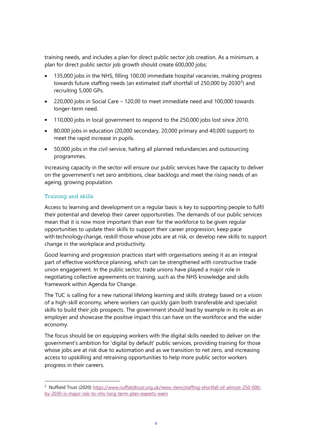training needs, and includes a plan for direct public sector job creation. As a minimum, a plan for direct public sector job growth should create 600,000 jobs:

- 135,000 jobs in the NHS, filling 100,00 immediate hospital vacancies, making progress towards future staffing needs (an estimated staff shortfall of 2[5](#page-3-0)0,000 by 2030<sup>5</sup>) and recruiting 5,000 GPs.
- 220,000 jobs in Social Care 120,00 to meet immediate need and 100,000 towards longer-term need.
- 110,000 jobs in local government to respond to the 250,000 jobs lost since 2010.
- 80,000 jobs in education (20,000 secondary, 20,000 primary and 40,000 support) to meet the rapid increase in pupils.
- 50,000 jobs in the civil service, halting all planned redundancies and outsourcing programmes.

Increasing capacity in the sector will ensure our public services have the capacity to deliver on the government's net zero ambitions, clear backlogs and meet the rising needs of an ageing, growing population.

### Training and skills

Access to learning and development on a regular basis is key to supporting people to fulfil their potential and develop their career opportunities. The demands of our public services mean that it is now more important than ever for the workforce to be given regular opportunities to update their skills to support their career progression, keep pace with technology change, reskill those whose jobs are at risk, or develop new skills to support change in the workplace and productivity.

Good learning and progression practices start with organisations seeing it as an integral part of effective workforce planning, which can be strengthened with constructive trade union engagement. In the public sector, trade unions have played a major role in negotiating collective agreements on training, such as the NHS knowledge and skills framework within Agenda for Change.

The TUC is calling for a new national lifelong learning and skills strategy based on a vision of a high-skill economy, where workers can quickly gain both transferable and specialist skills to build their job prospects. The government should lead by example in its role as an employer and showcase the positive impact this can have on the workforce and the wider economy.

The focus should be on equipping workers with the digital skills needed to deliver on the government's ambition for 'digital by default' public services, providing training for those whose jobs are at risk due to automation and as we transition to net zero, and increasing access to upskilling and retraining opportunities to help more public sector workers progress in their careers.

<span id="page-3-0"></span><sup>5</sup> Nuffield Trust (2020) [https://www.nuffieldtrust.org.uk/news-item/staffing-shortfall-of-almost-250-000](https://www.nuffieldtrust.org.uk/news-item/staffing-shortfall-of-almost-250-000-by-2030-is-major-risk-to-nhs-long-term-plan-experts-warn) [by-2030-is-major-risk-to-nhs-long-term-plan-experts-warn](https://www.nuffieldtrust.org.uk/news-item/staffing-shortfall-of-almost-250-000-by-2030-is-major-risk-to-nhs-long-term-plan-experts-warn)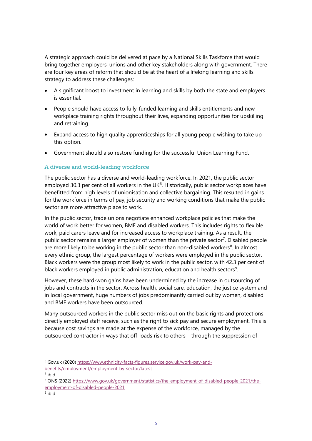A strategic approach could be delivered at pace by a National Skills Taskforce that would bring together employers, unions and other key stakeholders along with government. There are four key areas of reform that should be at the heart of a lifelong learning and skills strategy to address these challenges:

- A significant boost to investment in learning and skills by both the state and employers is essential.
- People should have access to fully-funded learning and skills entitlements and new workplace training rights throughout their lives, expanding opportunities for upskilling and retraining.
- Expand access to high quality apprenticeships for all young people wishing to take up this option.
- Government should also restore funding for the successful Union Learning Fund.

#### A diverse and world-leading workforce

The public sector has a diverse and world-leading workforce. In 2021, the public sector employed 30.3 per cent of all workers in the UK $<sup>6</sup>$  $<sup>6</sup>$  $<sup>6</sup>$ . Historically, public sector workplaces have</sup> benefitted from high levels of unionisation and collective bargaining. This resulted in gains for the workforce in terms of pay, job security and working conditions that make the public sector are more attractive place to work.

In the public sector, trade unions negotiate enhanced workplace policies that make the world of work better for women, BME and disabled workers. This includes rights to flexible work, paid carers leave and for increased access to workplace training. As a result, the public sector remains a larger employer of women than the private sector<sup>[7](#page-4-1)</sup>. Disabled people are more likely to be working in the public sector than non-disabled workers<sup>[8](#page-4-2)</sup>. In almost every ethnic group, the largest percentage of workers were employed in the public sector. Black workers were the group most likely to work in the public sector, with 42.3 per cent of black workers employed in public administration, education and health sectors<sup>[9](#page-4-3)</sup>.

However, these hard-won gains have been undermined by the increase in outsourcing of jobs and contracts in the sector. Across health, social care, education, the justice system and in local government, huge numbers of jobs predominantly carried out by women, disabled and BME workers have been outsourced.

Many outsourced workers in the public sector miss out on the basic rights and protections directly employed staff receive, such as the right to sick pay and secure employment. This is because cost savings are made at the expense of the workforce, managed by the outsourced contractor in ways that off-loads risk to others – through the suppression of

<span id="page-4-0"></span><sup>6</sup> Gov.uk (2020) [https://www.ethnicity-facts-figures.service.gov.uk/work-pay-and-](https://www.ethnicity-facts-figures.service.gov.uk/work-pay-and-benefits/employment/employment-by-sector/latest)

<span id="page-4-1"></span>[benefits/employment/employment-by-sector/latest](https://www.ethnicity-facts-figures.service.gov.uk/work-pay-and-benefits/employment/employment-by-sector/latest)

<sup>7</sup> ibid

<span id="page-4-2"></span><sup>8</sup> ONS (2022) [https://www.gov.uk/government/statistics/the-employment-of-disabled-people-2021/the](https://www.gov.uk/government/statistics/the-employment-of-disabled-people-2021/the-employment-of-disabled-people-2021)[employment-of-disabled-people-2021](https://www.gov.uk/government/statistics/the-employment-of-disabled-people-2021/the-employment-of-disabled-people-2021)

<span id="page-4-3"></span><sup>9</sup> ibid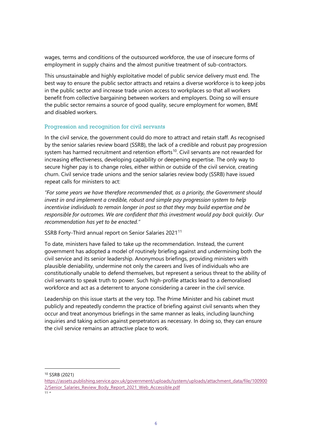wages, terms and conditions of the outsourced workforce, the use of insecure forms of employment in supply chains and the almost punitive treatment of sub-contractors.

This unsustainable and highly exploitative model of public service delivery must end. The best way to ensure the public sector attracts and retains a diverse workforce is to keep jobs in the public sector and increase trade union access to workplaces so that all workers benefit from collective bargaining between workers and employers. Doing so will ensure the public sector remains a source of good quality, secure employment for women, BME and disabled workers.

#### Progression and recognition for civil servants

In the civil service, the government could do more to attract and retain staff. As recognised by the senior salaries review board (SSRB), the lack of a credible and robust pay progression system has harmed recruitment and retention efforts<sup>[10](#page-5-0)</sup>. Civil servants are not rewarded for increasing effectiveness, developing capability or deepening expertise. The only way to secure higher pay is to change roles, either within or outside of the civil service, creating churn. Civil service trade unions and the senior salaries review body (SSRB) have issued repeat calls for ministers to act:

*"For some years we have therefore recommended that, as a priority, the Government should invest in and implement a credible, robust and simple pay progression system to help incentivise individuals to remain longer in post so that they may build expertise and be responsible for outcomes. We are confident that this investment would pay back quickly. Our recommendation has yet to be enacted."*

SSRB Forty-Third annual report on Senior Salaries 2021<sup>[11](#page-5-1)</sup>

To date, ministers have failed to take up the recommendation. Instead, the current government has adopted a model of routinely briefing against and undermining both the civil service and its senior leadership. Anonymous briefings, providing ministers with plausible deniability, undermine not only the careers and lives of individuals who are constitutionally unable to defend themselves, but represent a serious threat to the ability of civil servants to speak truth to power. Such high-profile attacks lead to a demoralised workforce and act as a deterrent to anyone considering a career in the civil service.

Leadership on this issue starts at the very top. The Prime Minister and his cabinet must publicly and repeatedly condemn the practice of briefing against civil servants when they occur and treat anonymous briefings in the same manner as leaks, including launching inquiries and taking action against perpetrators as necessary. In doing so, they can ensure the civil service remains an attractive place to work.

<span id="page-5-0"></span><sup>10</sup> SSRB (2021)

[https://assets.publishing.service.gov.uk/government/uploads/system/uploads/attachment\\_data/file/100900](https://assets.publishing.service.gov.uk/government/uploads/system/uploads/attachment_data/file/1009002/Senior_Salaries_Review_Body_Report_2021_Web_Accessible.pdf) 2/Senior Salaries Review Body Report 2021 Web Accessible.pdf

<span id="page-5-1"></span> $11<sup>''</sup>$